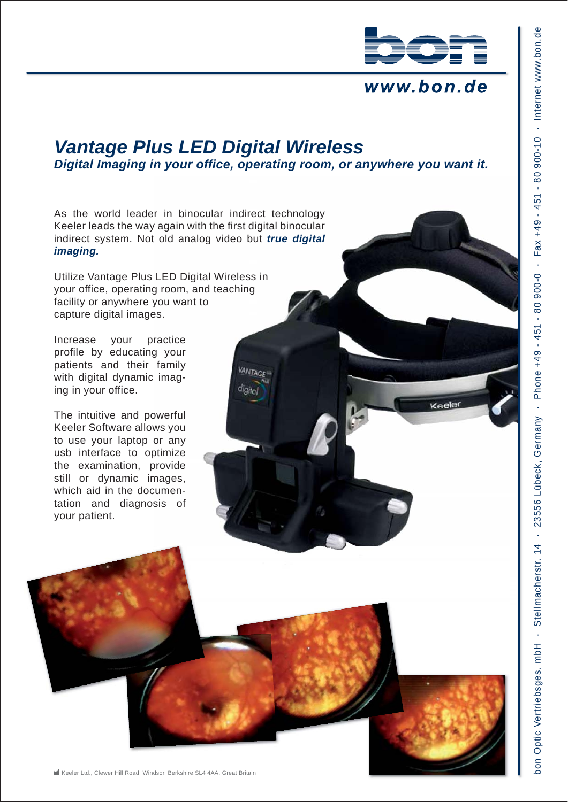

### www.bon.de

# *Vantage Plus LED Digital Wireless*

*Digital Imaging in your office, operating room, or anywhere you want it.*

**VANTAGE** digital

As the world leader in binocular indirect technology Keeler leads the way again with the first digital binocular indirect system. Not old analog video but *true digital imaging.*

Utilize Vantage Plus LED Digital Wireless in your office, operating room, and teaching facility or anywhere you want to capture digital images.

Increase your practice profile by educating your patients and their family with digital dynamic imaging in your office.

The intuitive and powerful Keeler Software allows you to use your laptop or any usb interface to optimize the examination, provide still or dynamic images, which aid in the documentation and diagnosis of your patient.